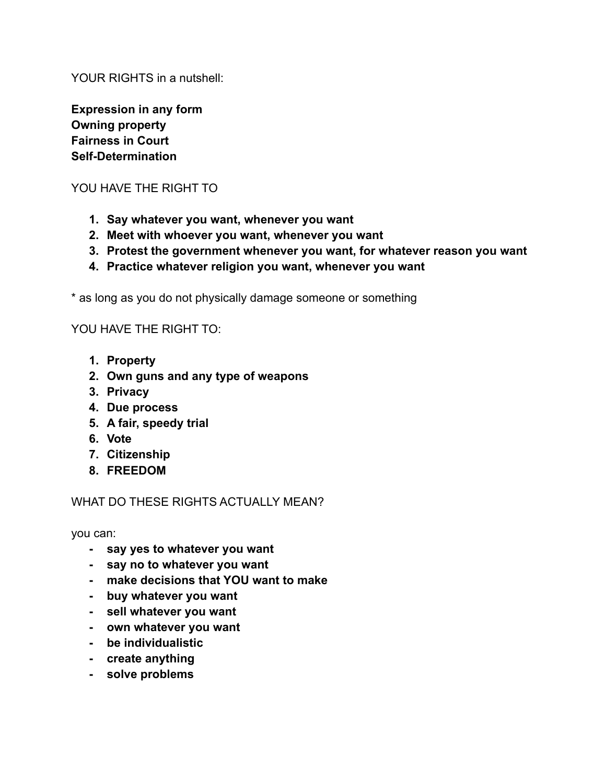YOUR RIGHTS in a nutshell:

**Expression in any form Owning property Fairness in Court Self-Determination**

### YOU HAVE THE RIGHT TO

- **1. Say whatever you want, whenever you want**
- **2. Meet with whoever you want, whenever you want**
- **3. Protest the government whenever you want, for whatever reason you want**
- **4. Practice whatever religion you want, whenever you want**

\* as long as you do not physically damage someone or something

#### YOU HAVE THE RIGHT TO:

- **1. Property**
- **2. Own guns and any type of weapons**
- **3. Privacy**
- **4. Due process**
- **5. A fair, speedy trial**
- **6. Vote**
- **7. Citizenship**
- **8. FREEDOM**

### WHAT DO THESE RIGHTS ACTUALLY MEAN?

you can:

- **- say yes to whatever you want**
- **- say no to whatever you want**
- **- make decisions that YOU want to make**
- **- buy whatever you want**
- **- sell whatever you want**
- **- own whatever you want**
- **- be individualistic**
- **- create anything**
- **- solve problems**